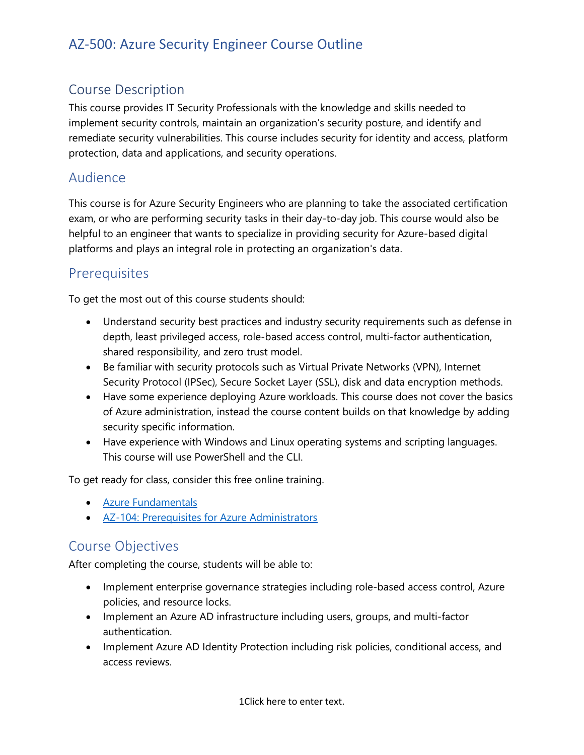## Course Description

This course provides IT Security Professionals with the knowledge and skills needed to implement security controls, maintain an organization's security posture, and identify and remediate security vulnerabilities. This course includes security for identity and access, platform protection, data and applications, and security operations.

### Audience

This course is for Azure Security Engineers who are planning to take the associated certification exam, or who are performing security tasks in their day-to-day job. This course would also be helpful to an engineer that wants to specialize in providing security for Azure-based digital platforms and plays an integral role in protecting an organization's data.

### **Prerequisites**

To get the most out of this course students should:

- Understand security best practices and industry security requirements such as defense in depth, least privileged access, role-based access control, multi-factor authentication, shared responsibility, and zero trust model.
- Be familiar with security protocols such as Virtual Private Networks (VPN), Internet Security Protocol (IPSec), Secure Socket Layer (SSL), disk and data encryption methods.
- Have some experience deploying Azure workloads. This course does not cover the basics of Azure administration, instead the course content builds on that knowledge by adding security specific information.
- Have experience with Windows and Linux operating systems and scripting languages. This course will use PowerShell and the CLI.

To get ready for class, consider this free online training.

- [Azure Fundamentals](https://docs.microsoft.com/en-us/learn/paths/azure-fundamentals/)
- [AZ-104: Prerequisites for Azure Administrators](https://docs.microsoft.com/en-us/learn/paths/az-104-administrator-prerequisites/)

### Course Objectives

After completing the course, students will be able to:

- Implement enterprise governance strategies including role-based access control, Azure policies, and resource locks.
- Implement an Azure AD infrastructure including users, groups, and multi-factor authentication.
- Implement Azure AD Identity Protection including risk policies, conditional access, and access reviews.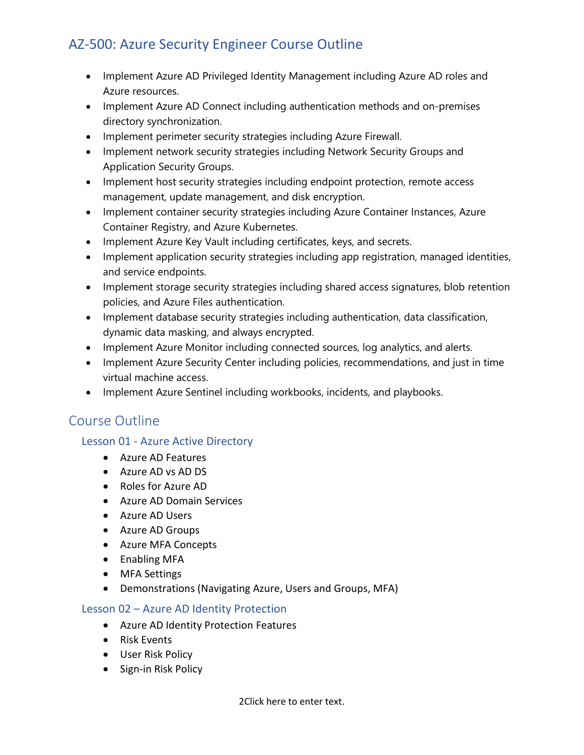- Implement Azure AD Privileged Identity Management including Azure AD roles and Azure resources.
- Implement Azure AD Connect including authentication methods and on-premises directory synchronization.
- Implement perimeter security strategies including Azure Firewall.
- Implement network security strategies including Network Security Groups and Application Security Groups.
- Implement host security strategies including endpoint protection, remote access management, update management, and disk encryption.
- Implement container security strategies including Azure Container Instances, Azure Container Registry, and Azure Kubernetes.
- Implement Azure Key Vault including certificates, keys, and secrets.
- Implement application security strategies including app registration, managed identities, and service endpoints.
- Implement storage security strategies including shared access signatures, blob retention policies, and Azure Files authentication.
- Implement database security strategies including authentication, data classification, dynamic data masking, and always encrypted.
- Implement Azure Monitor including connected sources, log analytics, and alerts.
- Implement Azure Security Center including policies, recommendations, and just in time virtual machine access.
- Implement Azure Sentinel including workbooks, incidents, and playbooks.

### Course Outline

### Lesson 01 - Azure Active Directory

- Azure AD Features
- Azure AD vs AD DS
- Roles for Azure AD
- Azure AD Domain Services
- Azure AD Users
- Azure AD Groups
- Azure MFA Concepts
- Enabling MFA
- MFA Settings
- Demonstrations (Navigating Azure, Users and Groups, MFA)

### Lesson 02 – Azure AD Identity Protection

- Azure AD Identity Protection Features
- Risk Events
- User Risk Policy
- Sign-in Risk Policy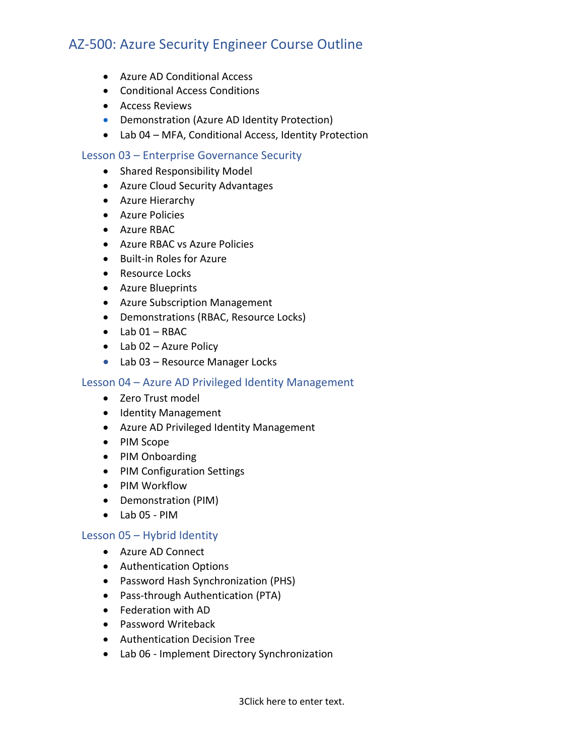- Azure AD Conditional Access
- Conditional Access Conditions
- Access Reviews
- Demonstration (Azure AD Identity Protection)
- Lab 04 MFA, Conditional Access, Identity Protection

#### Lesson 03 – Enterprise Governance Security

- Shared Responsibility Model
- Azure Cloud Security Advantages
- Azure Hierarchy
- Azure Policies
- Azure RBAC
- Azure RBAC vs Azure Policies
- Built-in Roles for Azure
- Resource Locks
- Azure Blueprints
- Azure Subscription Management
- Demonstrations (RBAC, Resource Locks)
- $\bullet$  Lab 01 RBAC
- Lab 02 Azure Policy
- Lab 03 Resource Manager Locks

#### Lesson 04 – Azure AD Privileged Identity Management

- Zero Trust model
- Identity Management
- Azure AD Privileged Identity Management
- PIM Scope
- PIM Onboarding
- PIM Configuration Settings
- PIM Workflow
- Demonstration (PIM)
- Lab 05 PIM

#### Lesson 05 – Hybrid Identity

- Azure AD Connect
- Authentication Options
- Password Hash Synchronization (PHS)
- Pass-through Authentication (PTA)
- Federation with AD
- Password Writeback
- Authentication Decision Tree
- Lab 06 Implement Directory Synchronization

3Click here to enter text.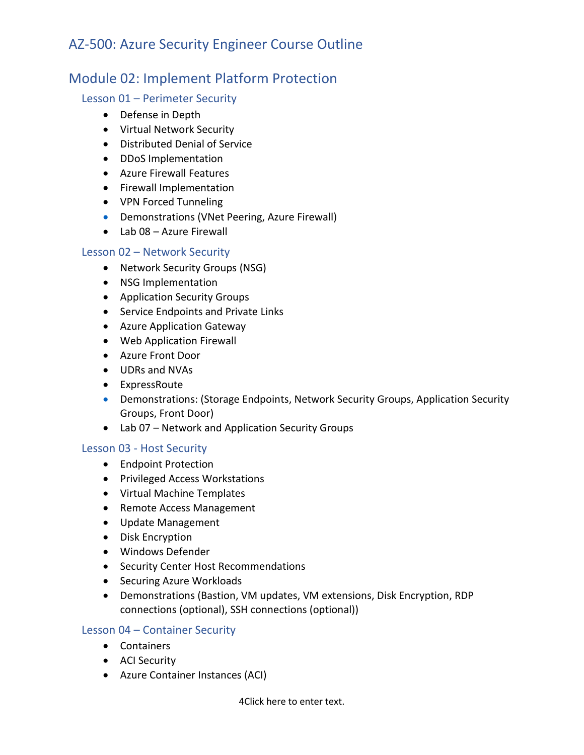## Module 02: Implement Platform Protection

### Lesson 01 – Perimeter Security

- Defense in Depth
- Virtual Network Security
- Distributed Denial of Service
- DDoS Implementation
- Azure Firewall Features
- Firewall Implementation
- VPN Forced Tunneling
- Demonstrations (VNet Peering, Azure Firewall)
- Lab 08 Azure Firewall

### Lesson 02 – Network Security

- Network Security Groups (NSG)
- NSG Implementation
- Application Security Groups
- Service Endpoints and Private Links
- Azure Application Gateway
- Web Application Firewall
- Azure Front Door
- UDRs and NVAs
- ExpressRoute
- Demonstrations: (Storage Endpoints, Network Security Groups, Application Security Groups, Front Door)
- Lab 07 Network and Application Security Groups

### Lesson 03 - Host Security

- Endpoint Protection
- Privileged Access Workstations
- Virtual Machine Templates
- Remote Access Management
- Update Management
- Disk Encryption
- Windows Defender
- Security Center Host Recommendations
- Securing Azure Workloads
- Demonstrations (Bastion, VM updates, VM extensions, Disk Encryption, RDP connections (optional), SSH connections (optional))

### Lesson 04 – Container Security

- Containers
- ACI Security
- Azure Container Instances (ACI)

4Click here to enter text.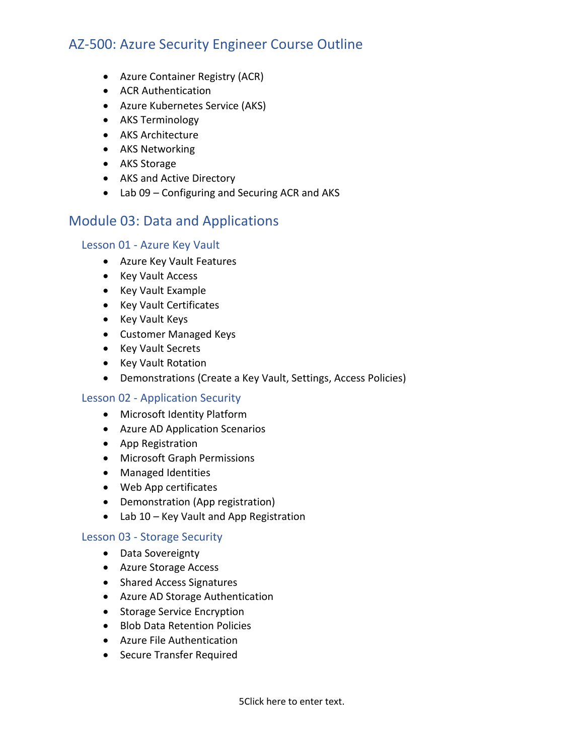- Azure Container Registry (ACR)
- ACR Authentication
- Azure Kubernetes Service (AKS)
- AKS Terminology
- AKS Architecture
- AKS Networking
- AKS Storage
- AKS and Active Directory
- Lab 09 Configuring and Securing ACR and AKS

### Module 03: Data and Applications

#### Lesson 01 - Azure Key Vault

- Azure Key Vault Features
- Key Vault Access
- Key Vault Example
- Key Vault Certificates
- Key Vault Keys
- Customer Managed Keys
- Key Vault Secrets
- Key Vault Rotation
- Demonstrations (Create a Key Vault, Settings, Access Policies)

#### Lesson 02 - Application Security

- Microsoft Identity Platform
- Azure AD Application Scenarios
- App Registration
- Microsoft Graph Permissions
- Managed Identities
- Web App certificates
- Demonstration (App registration)
- Lab 10 Key Vault and App Registration

#### Lesson 03 - Storage Security

- Data Sovereignty
- Azure Storage Access
- Shared Access Signatures
- Azure AD Storage Authentication
- Storage Service Encryption
- Blob Data Retention Policies
- Azure File Authentication
- Secure Transfer Required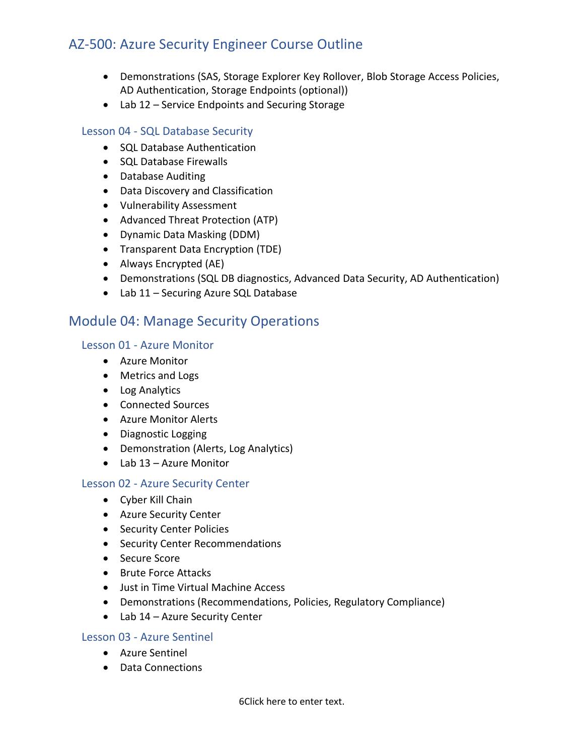- Demonstrations (SAS, Storage Explorer Key Rollover, Blob Storage Access Policies, AD Authentication, Storage Endpoints (optional))
- Lab 12 Service Endpoints and Securing Storage

### Lesson 04 - SQL Database Security

- SQL Database Authentication
- SQL Database Firewalls
- Database Auditing
- Data Discovery and Classification
- Vulnerability Assessment
- Advanced Threat Protection (ATP)
- Dynamic Data Masking (DDM)
- Transparent Data Encryption (TDE)
- Always Encrypted (AE)
- Demonstrations (SQL DB diagnostics, Advanced Data Security, AD Authentication)
- Lab 11 Securing Azure SQL Database

### Module 04: Manage Security Operations

#### Lesson 01 - Azure Monitor

- Azure Monitor
- Metrics and Logs
- Log Analytics
- Connected Sources
- Azure Monitor Alerts
- Diagnostic Logging
- Demonstration (Alerts, Log Analytics)
- Lab 13 Azure Monitor

#### Lesson 02 - Azure Security Center

- Cyber Kill Chain
- Azure Security Center
- Security Center Policies
- Security Center Recommendations
- Secure Score
- Brute Force Attacks
- Just in Time Virtual Machine Access
- Demonstrations (Recommendations, Policies, Regulatory Compliance)
- Lab 14 Azure Security Center

### Lesson 03 - Azure Sentinel

- Azure Sentinel
- Data Connections